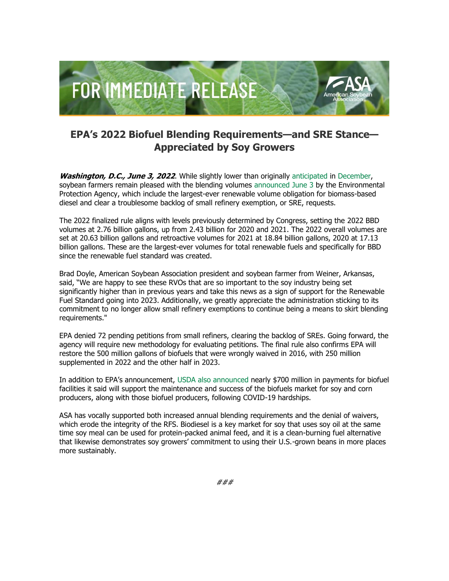

## **EPA's 2022 Biofuel Blending Requirements—and SRE Stance— Appreciated by Soy Growers**

**Washington, D.C., June 3, 2022**. While slightly lower than originally [anticipated](http://asa.informz.net/z/cjUucD9taT0xMDYyMDA2NiZwPTEmdT0xMDM1OTc0Njg2JmxpPTk1Mzk3MjMx/index.html) in [December,](http://asa.informz.net/z/cjUucD9taT0xMDYyMDA2NiZwPTEmdT0xMDM1OTc0Njg2JmxpPTk1Mzk3MjMy/index.html) soybean farmers remain pleased with the blending volumes [announced June 3](http://asa.informz.net/z/cjUucD9taT0xMDYyMDA2NiZwPTEmdT0xMDM1OTc0Njg2JmxpPTk1Mzk3MjMz/index.html) by the Environmental Protection Agency, which include the largest-ever renewable volume obligation for biomass-based diesel and clear a troublesome backlog of small refinery exemption, or SRE, requests.

The 2022 finalized rule aligns with levels previously determined by Congress, setting the 2022 BBD volumes at 2.76 billion gallons, up from 2.43 billion for 2020 and 2021. The 2022 overall volumes are set at 20.63 billion gallons and retroactive volumes for 2021 at 18.84 billion gallons, 2020 at 17.13 billion gallons. These are the largest-ever volumes for total renewable fuels and specifically for BBD since the renewable fuel standard was created.

Brad Doyle, American Soybean Association president and soybean farmer from Weiner, Arkansas, said, "We are happy to see these RVOs that are so important to the soy industry being set significantly higher than in previous years and take this news as a sign of support for the Renewable Fuel Standard going into 2023. Additionally, we greatly appreciate the administration sticking to its commitment to no longer allow small refinery exemptions to continue being a means to skirt blending requirements."

EPA denied 72 pending petitions from small refiners, clearing the backlog of SREs. Going forward, the agency will require new methodology for evaluating petitions. The final rule also confirms EPA will restore the 500 million gallons of biofuels that were wrongly waived in 2016, with 250 million supplemented in 2022 and the other half in 2023.

In addition to EPA's announcement, [USDA also announced](http://asa.informz.net/z/cjUucD9taT0xMDYyMDA2NiZwPTEmdT0xMDM1OTc0Njg2JmxpPTk1Mzk3MjM0/index.html) nearly \$700 million in payments for biofuel facilities it said will support the maintenance and success of the biofuels market for soy and corn producers, along with those biofuel producers, following COVID-19 hardships.

ASA has vocally supported both increased annual blending requirements and the denial of waivers, which erode the integrity of the RFS. Biodiesel is a key market for soy that uses soy oil at the same time soy meal can be used for protein-packed animal feed, and it is a clean-burning fuel alternative that likewise demonstrates soy growers' commitment to using their U.S.-grown beans in more places more sustainably.